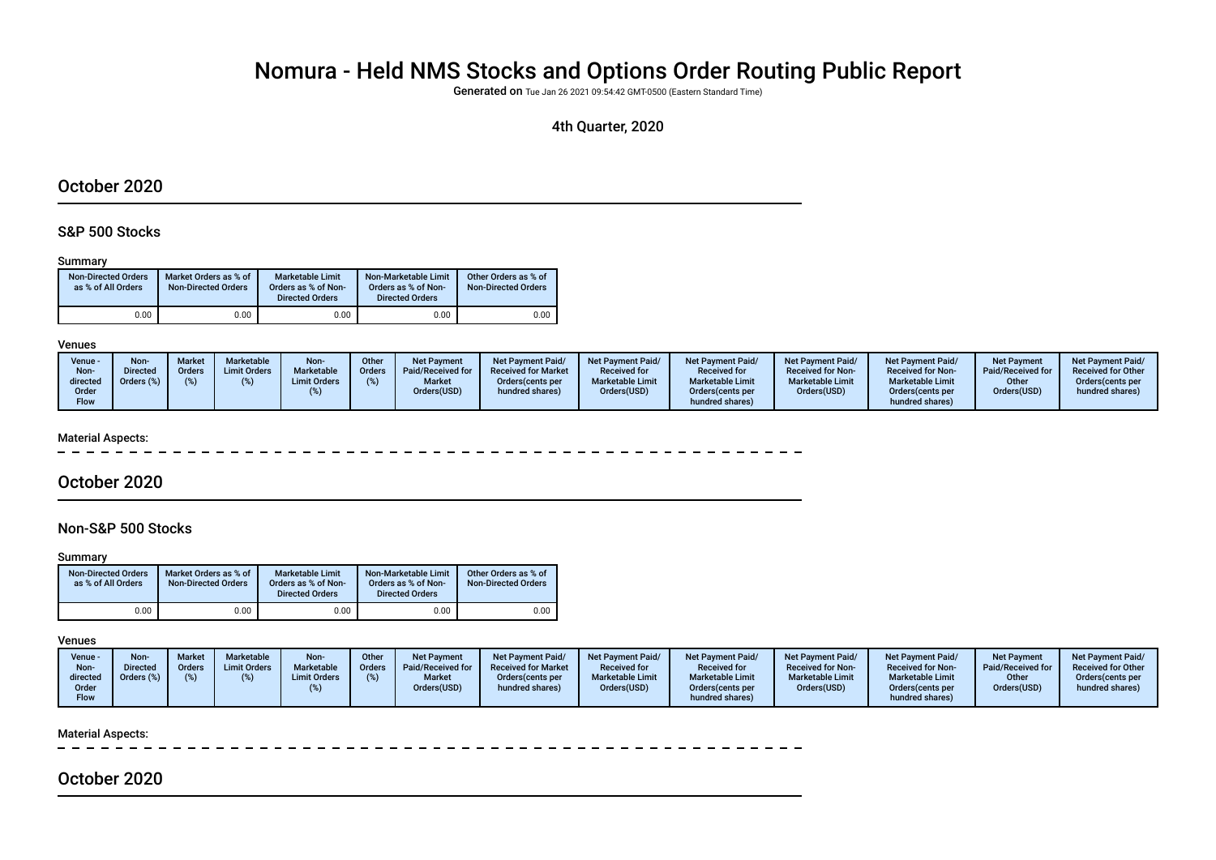# Nomura - Held NMS Stocks and Options Order Routing Public Report

Generated on Tue Jan 26 2021 09:54:42 GMT-0500 (Eastern Standard Time)

## 4th Quarter, 2020

## October 2020

## S&P 500 Stocks

#### Summary

| <b>Non-Directed Orders</b><br>as % of All Orders | Market Orders as % of<br><b>Non-Directed Orders</b> | Marketable Limit<br>Orders as % of Non-<br><b>Directed Orders</b> | Non-Marketable Limit<br>Orders as % of Non-<br><b>Directed Orders</b> | Other Orders as % of<br><b>Non-Directed Orders</b> |
|--------------------------------------------------|-----------------------------------------------------|-------------------------------------------------------------------|-----------------------------------------------------------------------|----------------------------------------------------|
| 0.00                                             | 0.00                                                | 0.00                                                              | 0.00                                                                  | 0.00                                               |

#### Venues

| Venue -<br>Non-<br>directed | Non-<br><b>Directed</b><br>Orders (%) | <b>Market</b><br><b>Orders</b> | <b>Marketable</b><br><b>Limit Orders</b> | Non-<br><b>Marketable</b><br><b>Limit Orders</b> | Other<br>Orders | <b>Net Payment</b><br>Paid/Received for<br><b>Market</b> | <b>Net Payment Paid/</b><br><b>Received for Market</b><br>Orders (cents per | <b>Net Payment Paid/</b><br><b>Received for</b><br><b>Marketable Limit</b> | <b>Net Payment Paid/</b><br><b>Received for</b><br><b>Marketable Limit</b> | <b>Net Payment Paid/</b><br><b>Received for Non-</b><br><b>Marketable Limit</b> | Net Payment Paid/<br><b>Received for Non-</b><br><b>Marketable Limit</b> | <b>Net Payment</b><br>Paid/Received for<br>Other | <b>Net Payment Paid/</b><br><b>Received for Other</b><br>Orders cents per |
|-----------------------------|---------------------------------------|--------------------------------|------------------------------------------|--------------------------------------------------|-----------------|----------------------------------------------------------|-----------------------------------------------------------------------------|----------------------------------------------------------------------------|----------------------------------------------------------------------------|---------------------------------------------------------------------------------|--------------------------------------------------------------------------|--------------------------------------------------|---------------------------------------------------------------------------|
| Order<br>Flow               |                                       |                                |                                          |                                                  |                 | Orders(USD)                                              | hundred shares)                                                             | Orders(USD)                                                                | Orders (cents per<br>hundred shares)                                       | Orders(USD)                                                                     | Orders (cents per<br>hundred shares)                                     | Orders(USD)                                      | hundred shares)                                                           |

#### Material Aspects:

# October 2020

## Non-S&P 500 Stocks

#### **Summary**

| <b>Non-Directed Orders</b><br>as % of All Orders | Market Orders as % of<br><b>Non-Directed Orders</b> | Marketable Limit<br>Orders as % of Non-<br><b>Directed Orders</b> | Non-Marketable Limit<br>Orders as % of Non-<br><b>Directed Orders</b> | Other Orders as % of<br><b>Non-Directed Orders</b> |
|--------------------------------------------------|-----------------------------------------------------|-------------------------------------------------------------------|-----------------------------------------------------------------------|----------------------------------------------------|
| 0.00                                             | 0.00                                                | 0.00                                                              | 0.00                                                                  | 0.00                                               |

### Venues

| Venue -<br>Non-<br>directed | Non-<br><b>Directed</b><br>Orders (%) | Marke<br>Orders | <b>Marketable</b><br><b>Limit Orders</b> | Non-<br>Marketable<br><b>Limit Orders</b> | Other<br><b>Orders</b> | <b>Net Payment</b><br>Paid/Received for<br><b>Market</b> | <b>Net Payment Paid/</b><br><b>Received for Market</b><br>Orders (cents per | <b>Net Payment Paid/</b><br><b>Received for</b><br><b>Marketable Limit</b> | <b>Net Payment Paid/</b><br><b>Received for</b><br><b>Marketable Limit</b> | <b>Net Payment Paid/</b><br><b>Received for Non-</b><br><b>Marketable Limit</b> | <b>Net Payment Paid/</b><br><b>Received for Non-</b><br><b>Marketable Limit</b> | <b>Net Payment</b><br>Paid/Received for<br>Other | <b>Net Payment Paid/</b><br><b>Received for Other</b><br>Orders(cents per |
|-----------------------------|---------------------------------------|-----------------|------------------------------------------|-------------------------------------------|------------------------|----------------------------------------------------------|-----------------------------------------------------------------------------|----------------------------------------------------------------------------|----------------------------------------------------------------------------|---------------------------------------------------------------------------------|---------------------------------------------------------------------------------|--------------------------------------------------|---------------------------------------------------------------------------|
| Order                       |                                       |                 |                                          |                                           |                        | Orders(USD)                                              | hundred shares)                                                             | Orders(USD)                                                                | Orders (cents per                                                          | Orders(USD)                                                                     | Orders(cents per                                                                | Orders(USD)                                      | hundred shares)                                                           |
| <b>Flow</b>                 |                                       |                 |                                          |                                           |                        |                                                          |                                                                             |                                                                            | hundred shares)                                                            |                                                                                 | hundred shares)                                                                 |                                                  |                                                                           |

#### Material Aspects:

# October 2020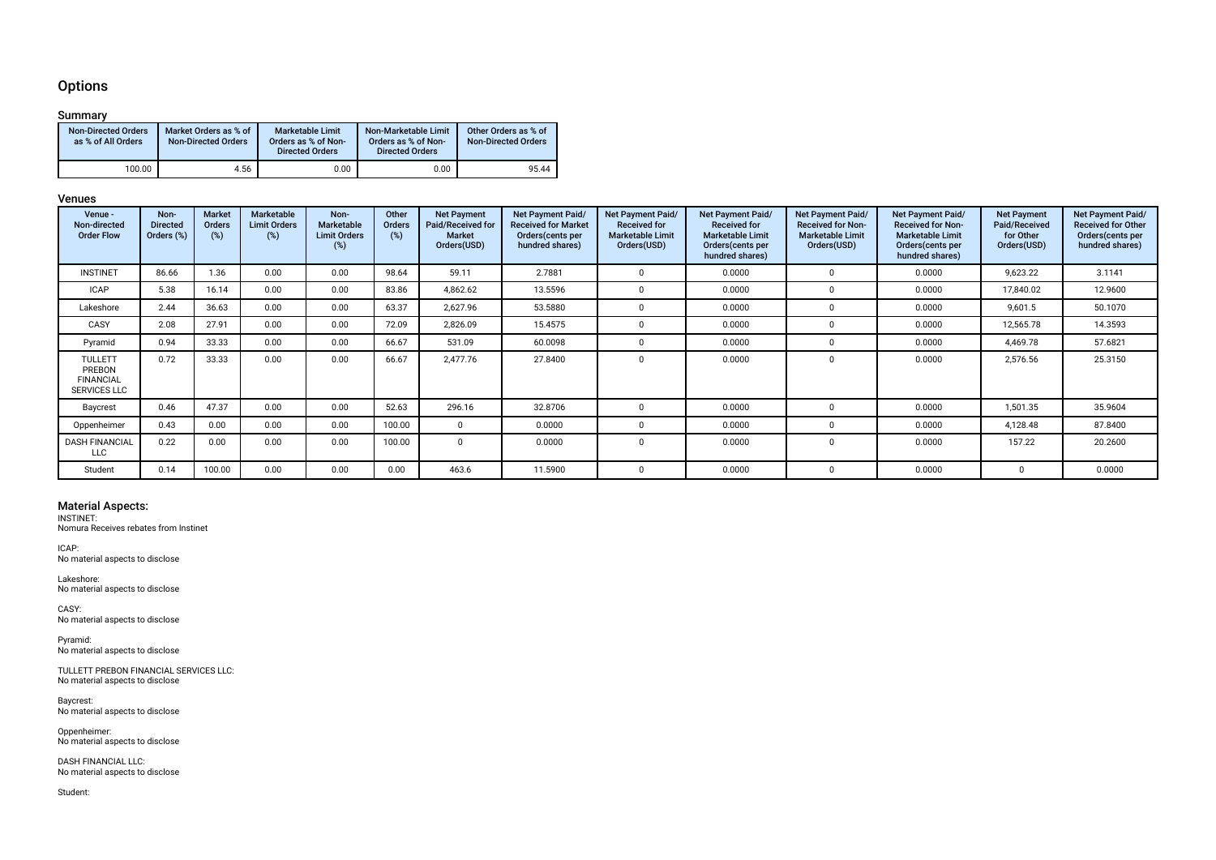## **Options**

## Summary

| <b>Non-Directed Orders</b><br>as % of All Orders | Market Orders as % of<br><b>Non-Directed Orders</b> | <b>Marketable Limit</b><br>Orders as % of Non-<br><b>Directed Orders</b> | Non-Marketable Limit<br>Orders as % of Non-<br><b>Directed Orders</b> | Other Orders as % of<br><b>Non-Directed Orders</b> |
|--------------------------------------------------|-----------------------------------------------------|--------------------------------------------------------------------------|-----------------------------------------------------------------------|----------------------------------------------------|
| 100.00                                           | 4.56                                                | 0.00                                                                     | 0.00                                                                  | 95.44                                              |

### Venues

| Venue -<br>Non-directed<br><b>Order Flow</b>                 | Non-<br><b>Directed</b><br>Orders (%) | <b>Market</b><br><b>Orders</b><br>$(\%)$ | <b>Marketable</b><br><b>Limit Orders</b><br>$(\%)$ | Non-<br>Marketable<br><b>Limit Orders</b><br>(%) | Other<br>Orders<br>(%) | <b>Net Payment</b><br>Paid/Received for<br><b>Market</b><br>Orders(USD) | <b>Net Payment Paid/</b><br><b>Received for Market</b><br>Orders (cents per<br>hundred shares) | Net Payment Paid/<br><b>Received for</b><br><b>Marketable Limit</b><br>Orders(USD) | Net Payment Paid/<br><b>Received for</b><br><b>Marketable Limit</b><br>Orders (cents per<br>hundred shares) | Net Payment Paid/<br><b>Received for Non-</b><br><b>Marketable Limit</b><br>Orders(USD) | <b>Net Payment Paid/</b><br><b>Received for Non-</b><br><b>Marketable Limit</b><br>Orders (cents per<br>hundred shares) | <b>Net Payment</b><br>Paid/Received<br>for Other<br>Orders(USD) | Net Payment Paid/<br><b>Received for Other</b><br>Orders (cents per<br>hundred shares) |
|--------------------------------------------------------------|---------------------------------------|------------------------------------------|----------------------------------------------------|--------------------------------------------------|------------------------|-------------------------------------------------------------------------|------------------------------------------------------------------------------------------------|------------------------------------------------------------------------------------|-------------------------------------------------------------------------------------------------------------|-----------------------------------------------------------------------------------------|-------------------------------------------------------------------------------------------------------------------------|-----------------------------------------------------------------|----------------------------------------------------------------------------------------|
| <b>INSTINET</b>                                              | 86.66                                 | .36                                      | 0.00                                               | 0.00                                             | 98.64                  | 59.11                                                                   | 2.7881                                                                                         |                                                                                    | 0.0000                                                                                                      | $\Omega$                                                                                | 0.0000                                                                                                                  | 9,623.22                                                        | 3.1141                                                                                 |
| <b>ICAP</b>                                                  | 5.38                                  | 16.14                                    | 0.00                                               | 0.00                                             | 83.86                  | 4,862.62                                                                | 13.5596                                                                                        |                                                                                    | 0.0000                                                                                                      | 0                                                                                       | 0.0000                                                                                                                  | 17,840.02                                                       | 12.9600                                                                                |
| Lakeshore                                                    | 2.44                                  | 36.63                                    | 0.00                                               | 0.00                                             | 63.37                  | 2,627.96                                                                | 53.5880                                                                                        |                                                                                    | 0.0000                                                                                                      | $\Omega$                                                                                | 0.0000                                                                                                                  | 9,601.5                                                         | 50.1070                                                                                |
| CASY                                                         | 2.08                                  | 27.91                                    | 0.00                                               | 0.00                                             | 72.09                  | 2,826.09                                                                | 15.4575                                                                                        |                                                                                    | 0.0000                                                                                                      | $\Omega$                                                                                | 0.0000                                                                                                                  | 12,565.78                                                       | 14.3593                                                                                |
| Pyramid                                                      | 0.94                                  | 33.33                                    | 0.00                                               | 0.00                                             | 66.67                  | 531.09                                                                  | 60.0098                                                                                        |                                                                                    | 0.0000                                                                                                      | 0                                                                                       | 0.0000                                                                                                                  | 4,469.78                                                        | 57.6821                                                                                |
| TULLETT<br>PREBON<br><b>FINANCIAL</b><br><b>SERVICES LLC</b> | 0.72                                  | 33.33                                    | 0.00                                               | 0.00                                             | 66.67                  | 2.477.76                                                                | 27.8400                                                                                        |                                                                                    | 0.0000                                                                                                      | $\Omega$                                                                                | 0.0000                                                                                                                  | 2,576.56                                                        | 25.3150                                                                                |
| Baycrest                                                     | 0.46                                  | 47.37                                    | 0.00                                               | 0.00                                             | 52.63                  | 296.16                                                                  | 32.8706                                                                                        |                                                                                    | 0.0000                                                                                                      | 0                                                                                       | 0.0000                                                                                                                  | 1,501.35                                                        | 35.9604                                                                                |
| Oppenheimer                                                  | 0.43                                  | 0.00                                     | 0.00                                               | 0.00                                             | 100.00                 | $\Omega$                                                                | 0.0000                                                                                         |                                                                                    | 0.0000                                                                                                      | 0                                                                                       | 0.0000                                                                                                                  | 4,128.48                                                        | 87.8400                                                                                |
| <b>DASH FINANCIAL</b><br><b>LLC</b>                          | 0.22                                  | 0.00                                     | 0.00                                               | 0.00                                             | 100.00                 | $\Omega$                                                                | 0.0000                                                                                         |                                                                                    | 0.0000                                                                                                      | $\Omega$                                                                                | 0.0000                                                                                                                  | 157.22                                                          | 20.2600                                                                                |
| Student                                                      | 0.14                                  | 100.00                                   | 0.00                                               | 0.00                                             | 0.00                   | 463.6                                                                   | 11.5900                                                                                        |                                                                                    | 0.0000                                                                                                      | $\Omega$                                                                                | 0.0000                                                                                                                  |                                                                 | 0.0000                                                                                 |

**Material Aspects:**<br>INSTINET:<br>Nomura Receives rebates from Instinet

ICAP: No material aspects to disclose

Lakeshore: No material aspects to disclose

CASY: No material aspects to disclose

Pyramid: No material aspects to disclose

TULLETT PREBON FINANCIAL SERVICES LLC: No material aspects to disclose

Baycrest: No material aspects to disclose

Oppenheimer: No material aspects to disclose

DASH FINANCIAL LLC: No material aspects to disclose

Student: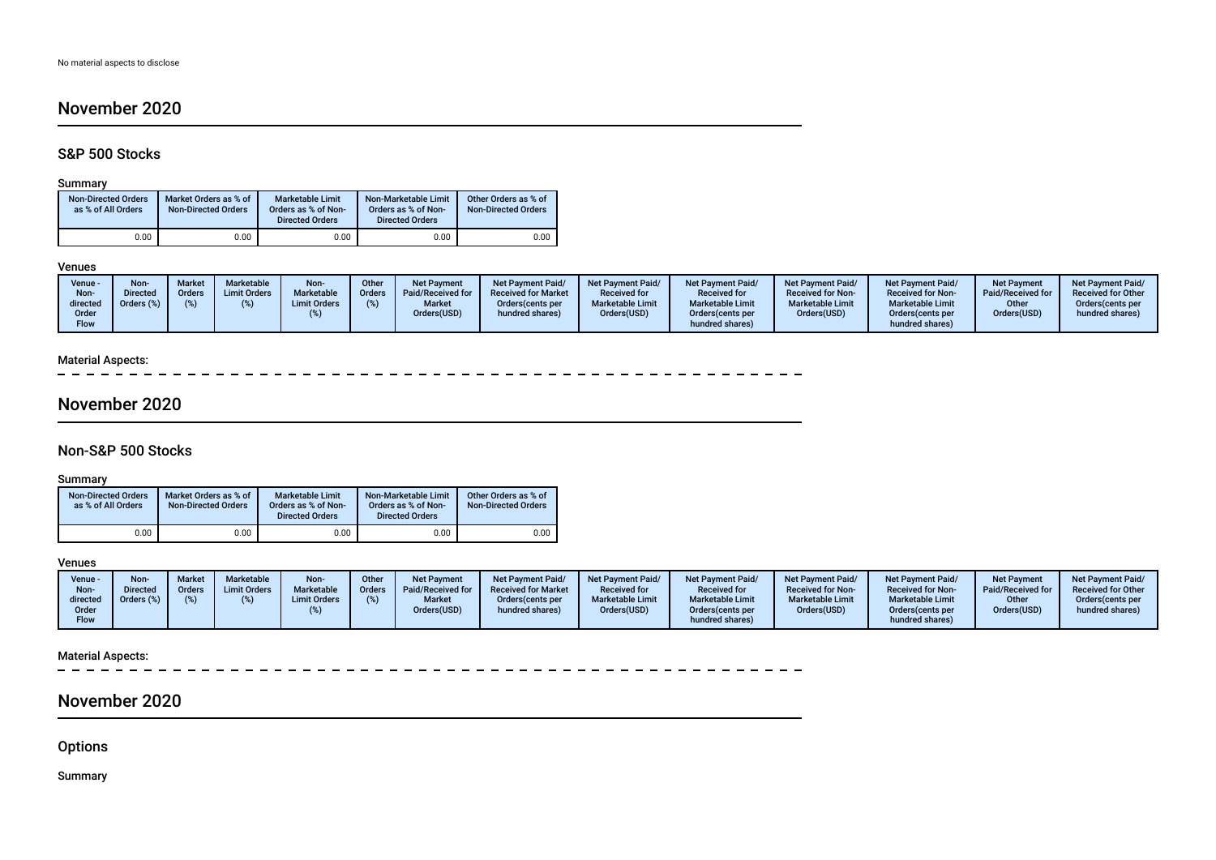# November 2020

## S&P 500 Stocks

## Summary

| <b>Non-Directed Orders</b><br>as % of All Orders | Market Orders as % of<br><b>Non-Directed Orders</b> | Marketable Limit<br>Orders as % of Non-<br><b>Directed Orders</b> | Non-Marketable Limit<br>Orders as % of Non-<br><b>Directed Orders</b> | Other Orders as % of<br><b>Non-Directed Orders</b> |
|--------------------------------------------------|-----------------------------------------------------|-------------------------------------------------------------------|-----------------------------------------------------------------------|----------------------------------------------------|
| 0.00                                             | 0.00                                                | 0.00                                                              | 0.00                                                                  | 0.00                                               |

#### Venues

| Venue -<br>Non-<br>directed<br>Order<br>Flow | <b>Non-</b><br><b>Market</b><br><b>Directed</b><br>Orders<br>Orders (%) | Marketable<br><b>Limit Orders</b> | Non-<br>Marketable<br><b>Limit Orders</b> | Other<br><b>Orders</b> | <b>Net Payment</b><br>Paid/Received for<br><b>Market</b><br>Orders(USD) | Net Payment Paid/<br><b>Received for Market</b><br>Orders (cents per<br>hundred shares) | Net Payment Paid/<br><b>Received for</b><br><b>Marketable Limit</b><br>Orders(USD) | <b>Net Payment Paid/</b><br><b>Received for</b><br><b>Marketable Limit</b><br>Orders (cents per<br>hundred shares) | Net Payment Paid/<br><b>Received for Non-</b><br><b>Marketable Limit</b><br>Orders(USD) | <b>Net Payment Paid/</b><br><b>Received for Non-</b><br><b>Marketable Limit</b><br>Orders(cents per<br>hundred shares) | <b>Net Payment</b><br>Paid/Received for<br>Other<br>Orders(USD) | <b>Net Payment Paid/</b><br><b>Received for Other</b><br>Orders(cents per<br>hundred shares) |
|----------------------------------------------|-------------------------------------------------------------------------|-----------------------------------|-------------------------------------------|------------------------|-------------------------------------------------------------------------|-----------------------------------------------------------------------------------------|------------------------------------------------------------------------------------|--------------------------------------------------------------------------------------------------------------------|-----------------------------------------------------------------------------------------|------------------------------------------------------------------------------------------------------------------------|-----------------------------------------------------------------|----------------------------------------------------------------------------------------------|
|----------------------------------------------|-------------------------------------------------------------------------|-----------------------------------|-------------------------------------------|------------------------|-------------------------------------------------------------------------|-----------------------------------------------------------------------------------------|------------------------------------------------------------------------------------|--------------------------------------------------------------------------------------------------------------------|-----------------------------------------------------------------------------------------|------------------------------------------------------------------------------------------------------------------------|-----------------------------------------------------------------|----------------------------------------------------------------------------------------------|

## Material Aspects:

 $\sim$ 

# November 2020

## Non-S&P 500 Stocks

## Summary

| <b>Non-Directed Orders</b><br>as % of All Orders | Market Orders as % of<br><b>Non-Directed Orders</b> | <b>Marketable Limit</b><br>Orders as % of Non-<br><b>Directed Orders</b> | Non-Marketable Limit<br>Orders as % of Non-<br><b>Directed Orders</b> | Other Orders as % of<br><b>Non-Directed Orders</b> |
|--------------------------------------------------|-----------------------------------------------------|--------------------------------------------------------------------------|-----------------------------------------------------------------------|----------------------------------------------------|
| 0.00                                             | 0.00                                                | 0.00                                                                     | 0.00                                                                  | 0.00                                               |

## Venues

| Venue ·<br>Non-<br>directed<br>Order<br><b>Flow</b> | <b>Non</b><br><b>Directed</b><br>Orders (%) | <b>Market</b><br><b>Orders</b><br>(% ) | <b>Marketable</b><br><b>Limit Orders</b> | Non-<br>Marketable<br><b>Limit Orders</b> | Other<br><b>Orders</b> | <b>Net Payment</b><br>Paid/Received for<br><b>Market</b><br>Orders(USD) | <b>Net Payment Paid/</b><br><b>Received for Market</b><br>Orders (cents per<br>hundred shares) | <b>Net Payment Paid/</b><br><b>Received for</b><br><b>Marketable Limit</b><br>Orders(USD) | <b>Net Payment Paid/</b><br><b>Received for</b><br><b>Marketable Limit</b><br>Orders (cents per<br>hundred shares) | Net Payment Paid/<br><b>Received for Non-</b><br><b>Marketable Limit</b><br>Orders(USD) | <b>Net Payment Paid/</b><br><b>Received for Non-</b><br><b>Marketable Limit</b><br>Orders (cents per<br>hundred shares) | <b>Net Payment</b><br>Paid/Received for<br>Other<br>Orders(USD) | <b>Net Payment Paid/</b><br><b>Received for Other</b><br>Orders (cents per<br>hundred shares) |
|-----------------------------------------------------|---------------------------------------------|----------------------------------------|------------------------------------------|-------------------------------------------|------------------------|-------------------------------------------------------------------------|------------------------------------------------------------------------------------------------|-------------------------------------------------------------------------------------------|--------------------------------------------------------------------------------------------------------------------|-----------------------------------------------------------------------------------------|-------------------------------------------------------------------------------------------------------------------------|-----------------------------------------------------------------|-----------------------------------------------------------------------------------------------|
|-----------------------------------------------------|---------------------------------------------|----------------------------------------|------------------------------------------|-------------------------------------------|------------------------|-------------------------------------------------------------------------|------------------------------------------------------------------------------------------------|-------------------------------------------------------------------------------------------|--------------------------------------------------------------------------------------------------------------------|-----------------------------------------------------------------------------------------|-------------------------------------------------------------------------------------------------------------------------|-----------------------------------------------------------------|-----------------------------------------------------------------------------------------------|

## Material Aspects:

# November 2020

**Options** 

Summary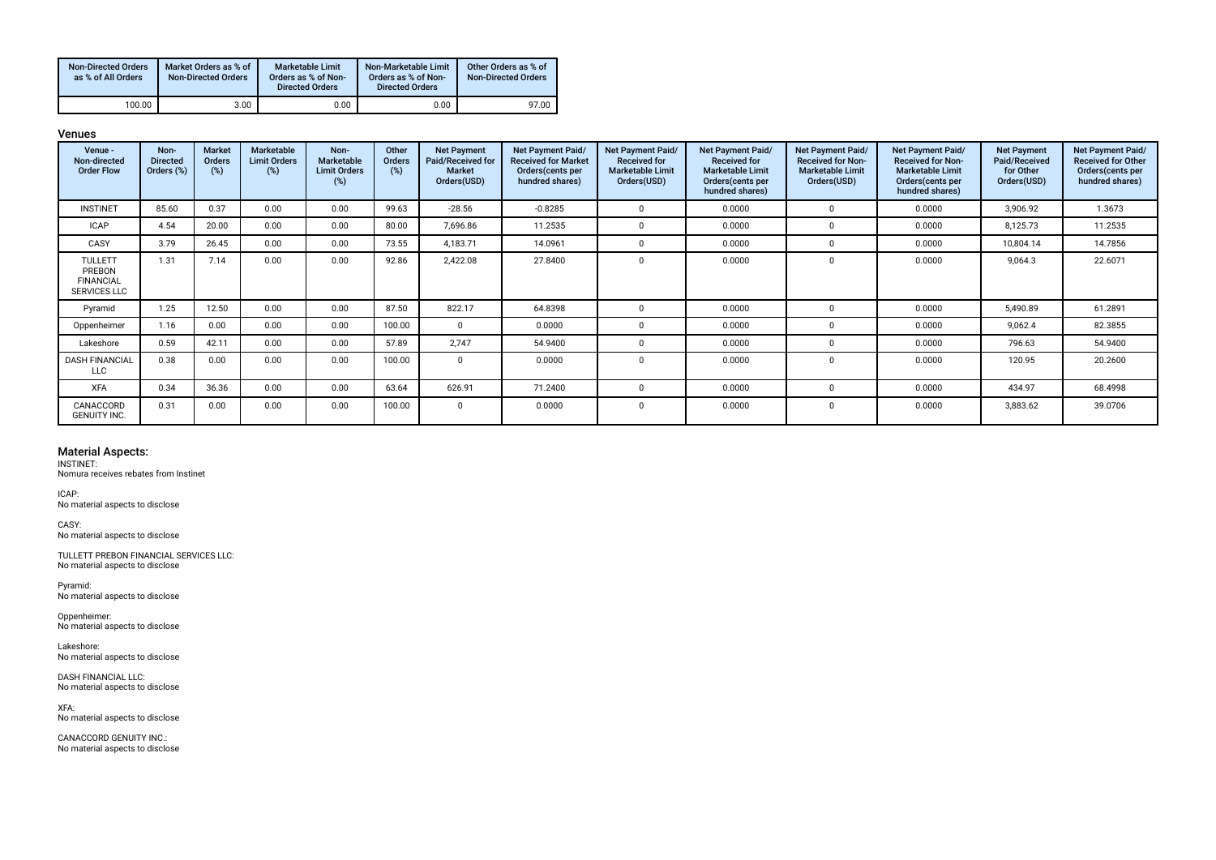| <b>Non-Directed Orders</b><br>as % of All Orders | Market Orders as % of<br><b>Non-Directed Orders</b> | Marketable Limit<br>Orders as % of Non-<br><b>Directed Orders</b> | Non-Marketable Limit<br>Orders as % of Non-<br><b>Directed Orders</b> | Other Orders as % of<br><b>Non-Directed Orders</b> |
|--------------------------------------------------|-----------------------------------------------------|-------------------------------------------------------------------|-----------------------------------------------------------------------|----------------------------------------------------|
| 100.00                                           | 3.00                                                | 0.00                                                              | 0.00                                                                  | 97.00                                              |

Venues

| Venue -<br>Non-directed<br><b>Order Flow</b>                        | Non-<br><b>Directed</b><br>Orders (%) | <b>Market</b><br>Orders<br>(%) | Marketable<br><b>Limit Orders</b><br>$(\%)$ | Non-<br>Marketable<br><b>Limit Orders</b><br>(%) | Other<br><b>Orders</b><br>(%) | <b>Net Payment</b><br>Paid/Received for<br><b>Market</b><br>Orders(USD) | Net Payment Paid/<br><b>Received for Market</b><br>Orders(cents per<br>hundred shares) | Net Payment Paid/<br><b>Received for</b><br><b>Marketable Limit</b><br>Orders(USD) | Net Payment Paid/<br><b>Received for</b><br><b>Marketable Limit</b><br>Orders(cents per<br>hundred shares) | Net Payment Paid/<br><b>Received for Non-</b><br><b>Marketable Limit</b><br>Orders(USD) | Net Payment Paid/<br><b>Received for Non-</b><br><b>Marketable Limit</b><br>Orders (cents per<br>hundred shares) | <b>Net Payment</b><br>Paid/Received<br>for Other<br>Orders(USD) | Net Payment Paid/<br><b>Received for Other</b><br>Orders(cents per<br>hundred shares) |
|---------------------------------------------------------------------|---------------------------------------|--------------------------------|---------------------------------------------|--------------------------------------------------|-------------------------------|-------------------------------------------------------------------------|----------------------------------------------------------------------------------------|------------------------------------------------------------------------------------|------------------------------------------------------------------------------------------------------------|-----------------------------------------------------------------------------------------|------------------------------------------------------------------------------------------------------------------|-----------------------------------------------------------------|---------------------------------------------------------------------------------------|
| <b>INSTINET</b>                                                     | 85.60                                 | 0.37                           | 0.00                                        | 0.00                                             | 99.63                         | $-28.56$                                                                | $-0.8285$                                                                              | $\Omega$                                                                           | 0.0000                                                                                                     | $\Omega$                                                                                | 0.0000                                                                                                           | 3,906.92                                                        | 1.3673                                                                                |
| <b>ICAP</b>                                                         | 4.54                                  | 20.00                          | 0.00                                        | 0.00                                             | 80.00                         | 7,696.86                                                                | 11.2535                                                                                | $\Omega$                                                                           | 0.0000                                                                                                     | $\Omega$                                                                                | 0.0000                                                                                                           | 8,125.73                                                        | 11.2535                                                                               |
| CASY                                                                | 3.79                                  | 26.45                          | 0.00                                        | 0.00                                             | 73.55                         | 4,183.71                                                                | 14.0961                                                                                | - 0                                                                                | 0.0000                                                                                                     | $\Omega$                                                                                | 0.0000                                                                                                           | 10,804.14                                                       | 14.7856                                                                               |
| <b>TULLETT</b><br>PREBON<br><b>FINANCIAL</b><br><b>SERVICES LLC</b> | 1.31                                  | 7.14                           | 0.00                                        | 0.00                                             | 92.86                         | 2,422.08                                                                | 27.8400                                                                                | $\Omega$                                                                           | 0.0000                                                                                                     | $\mathbf 0$                                                                             | 0.0000                                                                                                           | 9,064.3                                                         | 22.6071                                                                               |
| Pyramid                                                             | 1.25                                  | 12.50                          | 0.00                                        | 0.00                                             | 87.50                         | 822.17                                                                  | 64.8398                                                                                | - 0                                                                                | 0.0000                                                                                                     | $\Omega$                                                                                | 0.0000                                                                                                           | 5,490.89                                                        | 61.2891                                                                               |
| Oppenheimer                                                         | 1.16                                  | 0.00                           | 0.00                                        | 0.00                                             | 100.00                        |                                                                         | 0.0000                                                                                 | $\Omega$                                                                           | 0.0000                                                                                                     | $\Omega$                                                                                | 0.0000                                                                                                           | 9,062.4                                                         | 82.3855                                                                               |
| Lakeshore                                                           | 0.59                                  | 42.11                          | 0.00                                        | 0.00                                             | 57.89                         | 2.747                                                                   | 54.9400                                                                                | - 0                                                                                | 0.0000                                                                                                     | $\Omega$                                                                                | 0.0000                                                                                                           | 796.63                                                          | 54.9400                                                                               |
| <b>DASH FINANCIAL</b><br><b>LLC</b>                                 | 0.38                                  | 0.00                           | 0.00                                        | 0.00                                             | 100.00                        | $\Omega$                                                                | 0.0000                                                                                 | $\Omega$                                                                           | 0.0000                                                                                                     | $\Omega$                                                                                | 0.0000                                                                                                           | 120.95                                                          | 20.2600                                                                               |
| <b>XFA</b>                                                          | 0.34                                  | 36.36                          | 0.00                                        | 0.00                                             | 63.64                         | 626.91                                                                  | 71.2400                                                                                | $\Omega$                                                                           | 0.0000                                                                                                     | $\Omega$                                                                                | 0.0000                                                                                                           | 434.97                                                          | 68.4998                                                                               |
| CANACCORD<br><b>GENUITY INC.</b>                                    | 0.31                                  | 0.00                           | 0.00                                        | 0.00                                             | 100.00                        | $\Omega$                                                                | 0.0000                                                                                 | $\mathbf{0}$                                                                       | 0.0000                                                                                                     | 0                                                                                       | 0.0000                                                                                                           | 3,883.62                                                        | 39.0706                                                                               |

### Material Aspects:

INSTINET: Nomura receives rebates from Instinet

ICAP: No material aspects to disclose

CASY: No material aspects to disclose

TULLETT PREBON FINANCIAL SERVICES LLC: No material aspects to disclose

Pyramid: No material aspects to disclose

Oppenheimer: No material aspects to disclose

Lakeshore: No material aspects to disclose

DASH FINANCIAL LLC: No material aspects to disclose

XFA: No material aspects to disclose

CANACCORD GENUITY INC.: No material aspects to disclose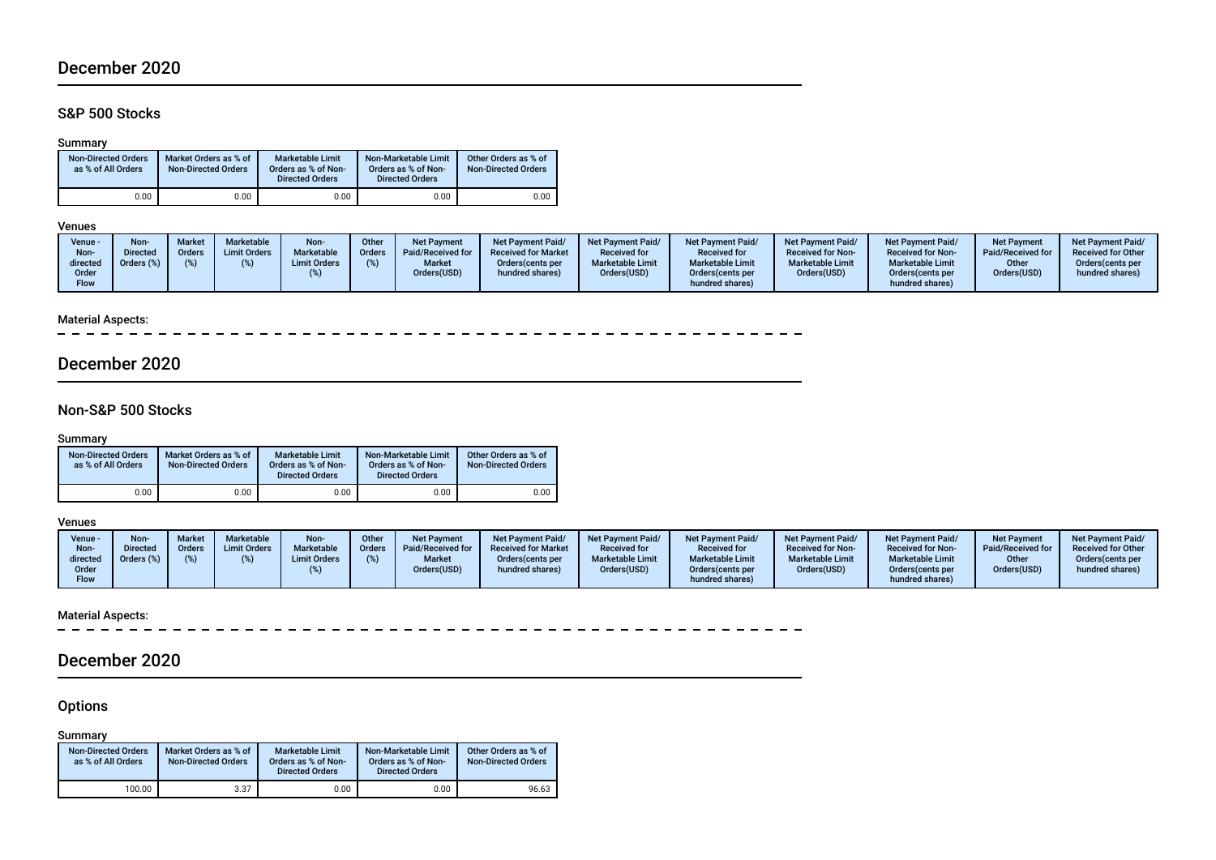# December 2020

## S&P 500 Stocks

## Summary

| <b>Non-Directed Orders</b><br>as % of All Orders |      | Market Orders as % of<br><b>Non-Directed Orders</b> | Marketable Limit<br>Orders as % of Non-<br><b>Directed Orders</b> | Non-Marketable Limit<br>Orders as % of Non-<br><b>Directed Orders</b> | Other Orders as % of<br><b>Non-Directed Orders</b> |
|--------------------------------------------------|------|-----------------------------------------------------|-------------------------------------------------------------------|-----------------------------------------------------------------------|----------------------------------------------------|
|                                                  | 0.00 | 0.00                                                | 0.00                                                              | 0.00                                                                  | 0.00                                               |

## Venues

| <b>Marketable Limit</b><br><b>Market</b><br><b>Marketable Limit</b><br>Drders (%)<br><b>Limit Orders</b><br>directed<br>Orders (cents per<br>Orders(USD)<br>Orders(USD)<br>Orders (cents per<br>hundred shares)<br>Order<br>hundred shares)<br><b>Flow</b> | <b>Received for Non-</b><br><b>Received for Non-</b><br><b>Marketable Limit</b><br><b>Marketable Limit</b><br>Orders(USD)<br>Orders (cents per<br>hundred shares) | Paid/Received for<br>Other<br>Orders(USD) | <b>Received for Other</b><br>Orders (cents per<br>hundred shares) |
|------------------------------------------------------------------------------------------------------------------------------------------------------------------------------------------------------------------------------------------------------------|-------------------------------------------------------------------------------------------------------------------------------------------------------------------|-------------------------------------------|-------------------------------------------------------------------|
|------------------------------------------------------------------------------------------------------------------------------------------------------------------------------------------------------------------------------------------------------------|-------------------------------------------------------------------------------------------------------------------------------------------------------------------|-------------------------------------------|-------------------------------------------------------------------|

## Material Aspects:

 $\overline{\phantom{a}}$ 

# December 2020

## Non-S&P 500 Stocks

## Summary

| <b>Non-Directed Orders</b><br>as % of All Orders | Market Orders as % of<br><b>Non-Directed Orders</b> | <b>Marketable Limit</b><br>Orders as % of Non-<br><b>Directed Orders</b> | Non-Marketable Limit<br>Orders as % of Non-<br><b>Directed Orders</b> | Other Orders as % of<br><b>Non-Directed Orders</b> |
|--------------------------------------------------|-----------------------------------------------------|--------------------------------------------------------------------------|-----------------------------------------------------------------------|----------------------------------------------------|
| 0.00                                             | 0.00                                                | 0.00                                                                     | 0.00                                                                  | 0.00                                               |

### Venues

| Venue -<br>Non-<br>directed<br>Order<br><b>Flow</b> | Non<br><b>Directed</b><br>Jrders (%) | Marke<br>Orders | <b>Marketable</b><br><b>Limit Orders</b> | Non-<br><b>Marketable</b><br><b>Limit Orders</b> | <b>Other</b><br><b>Orders</b> | Net Payment<br>Paid/Received for<br><b>Market</b><br>Orders(USD) | <b>Net Payment Paid/</b><br><b>Received for Market</b><br>Orders (cents per<br>hundred shares) | <b>Net Payment Paid/</b><br><b>Received for</b><br><b>Marketable Limit</b><br>Orders(USD) | <b>Net Payment Paid/</b><br><b>Received for</b><br><b>Marketable Limit</b><br>Orders(cents per<br>hundred shares) | Net Payment Paid/<br><b>Received for Non-</b><br><b>Marketable Limit</b><br>Orders(USD) | <b>Net Payment Paid/</b><br><b>Received for Non-</b><br><b>Marketable Limit</b><br>Orders(cents per<br>hundred shares) | <b>Net Payment</b><br>Paid/Received for<br>Other<br>Orders(USD) | <b>Net Payment Paid/</b><br><b>Received for Other</b><br>Orders(cents per<br>hundred shares) |
|-----------------------------------------------------|--------------------------------------|-----------------|------------------------------------------|--------------------------------------------------|-------------------------------|------------------------------------------------------------------|------------------------------------------------------------------------------------------------|-------------------------------------------------------------------------------------------|-------------------------------------------------------------------------------------------------------------------|-----------------------------------------------------------------------------------------|------------------------------------------------------------------------------------------------------------------------|-----------------------------------------------------------------|----------------------------------------------------------------------------------------------|
|-----------------------------------------------------|--------------------------------------|-----------------|------------------------------------------|--------------------------------------------------|-------------------------------|------------------------------------------------------------------|------------------------------------------------------------------------------------------------|-------------------------------------------------------------------------------------------|-------------------------------------------------------------------------------------------------------------------|-----------------------------------------------------------------------------------------|------------------------------------------------------------------------------------------------------------------------|-----------------------------------------------------------------|----------------------------------------------------------------------------------------------|

# Material Aspects:<br>- - - - - - -

<u>. . . . . . . . . . . . . . . . . . .</u>

# December 2020

## **Options**

Summary

| <b>Non-Directed Orders</b><br>as % of All Orders | Market Orders as % of<br><b>Non-Directed Orders</b> | <b>Marketable Limit</b><br>Orders as % of Non-<br><b>Directed Orders</b> | Non-Marketable Limit<br>Orders as % of Non-<br><b>Directed Orders</b> | Other Orders as % of<br><b>Non-Directed Orders</b> |
|--------------------------------------------------|-----------------------------------------------------|--------------------------------------------------------------------------|-----------------------------------------------------------------------|----------------------------------------------------|
| 100.00                                           | 3.37                                                | 0.00                                                                     | 0.00                                                                  | 96.63                                              |